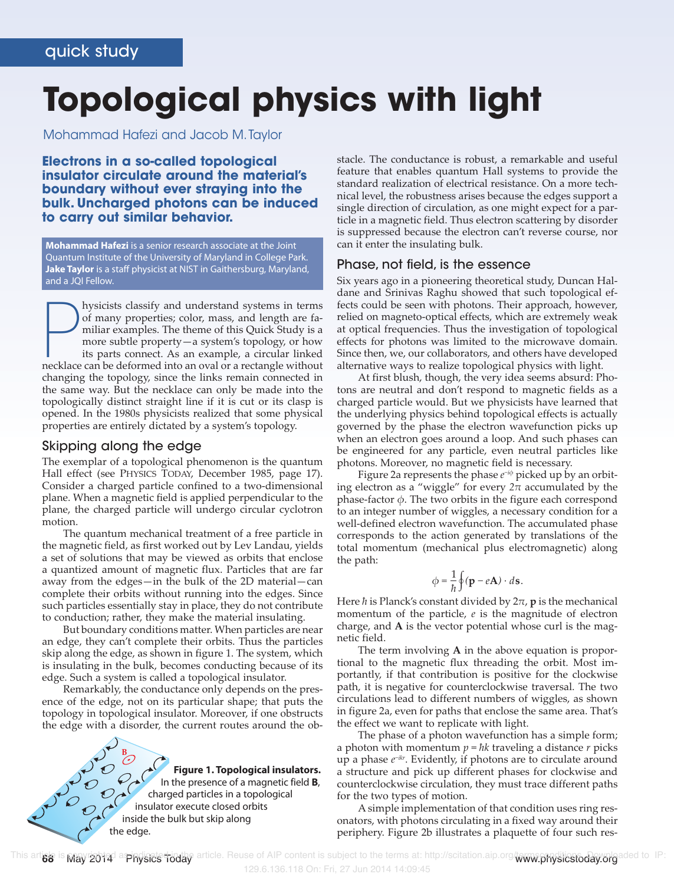# **Topological physics with light**

Mohammad Hafezi and Jacob M. Taylor

**Electrons in a so-called topological insulator circulate around the material's boundary without ever straying into the bulk. Uncharged photons can be induced to carry out similar behavior.**

**Mohammad Hafezi** is a senior research associate at the Joint Quantum Institute of the University of Maryland in College Park. **Jake Taylor** is a staff physicist at NIST in Gaithersburg, Maryland, and a JQI Fellow.

hysicists classify and understand systems in terms of many properties; color, mass, and length are familiar examples. The theme of this Quick Study is a more subtle property — a system's topology, or how its parts connect. hysicists classify and understand systems in terms of many properties; color, mass, and length are familiar examples. The theme of this Quick Study is a more subtle property—a system's topology, or how its parts connect. As an example, a circular linked changing the topology, since the links remain connected in the same way. But the necklace can only be made into the topologically distinct straight line if it is cut or its clasp is opened. In the 1980s physicists realized that some physical properties are entirely dictated by a system's topology.

## Skipping along the edge

The exemplar of a topological phenomenon is the quantum Hall effect (see PHYSICS TODAY, December 1985, page 17). Consider a charged particle confined to a two-dimensional plane. When a magnetic field is applied perpendicular to the plane, the charged particle will undergo circular cyclotron motion.

The quantum mechanical treatment of a free particle in the magnetic field, as first worked out by Lev Landau, yields a set of solutions that may be viewed as orbits that enclose a quantized amount of magnetic flux. Particles that are far away from the edges—in the bulk of the 2D material—can complete their orbits without running into the edges. Since such particles essentially stay in place, they do not contribute to conduction; rather, they make the material insulating.

But boundary conditions matter. When particles are near an edge, they can't complete their orbits. Thus the particles skip along the edge, as shown in figure 1. The system, which is insulating in the bulk, becomes conducting because of its edge. Such a system is called a topological insulator.

Remarkably, the conductance only depends on the presence of the edge, not on its particular shape; that puts the topology in topological insulator. Moreover, if one obstructs the edge with a disorder, the current routes around the ob-



stacle. The conductance is robust, a remarkable and useful feature that enables quantum Hall systems to provide the standard realization of electrical resistance. On a more technical level, the robustness arises because the edges support a single direction of circulation, as one might expect for a particle in a magnetic field. Thus electron scattering by disorder is suppressed because the electron can't reverse course, nor can it enter the insulating bulk.

### Phase, not field, is the essence

Six years ago in a pioneering theoretical study, Duncan Haldane and Srinivas Raghu showed that such topological effects could be seen with photons. Their approach, however, relied on magneto-optical effects, which are extremely weak at optical frequencies. Thus the investigation of topological effects for photons was limited to the microwave domain. Since then, we, our collaborators, and others have developed alternative ways to realize topological physics with light.

At first blush, though, the very idea seems absurd: Photons are neutral and don't respond to magnetic fields as a charged particle would. But we physicists have learned that the underlying physics behind topological effects is actually governed by the phase the electron wavefunction picks up when an electron goes around a loop. And such phases can be engineered for any particle, even neutral particles like photons. Moreover, no magnetic field is necessary.

Figure 2a represents the phase *e*<sup>−</sup>*i<sup>ϕ</sup>* picked up by an orbiting electron as a "wiggle" for every *2π* accumulated by the phase-factor *ϕ*. The two orbits in the figure each correspond to an integer number of wiggles, a necessary condition for a well-defined electron wavefunction. The accumulated phase corresponds to the action generated by translations of the total momentum (mechanical plus electromagnetic) along the path:

$$
\phi = \frac{1}{\hbar} \oint (\mathbf{p} - e\mathbf{A}) \cdot d\mathbf{s}.
$$

Here *ħ* is Planck's constant divided by 2*π*, **p** is the mechanical momentum of the particle, *e* is the magnitude of electron charge, and **A** is the vector potential whose curl is the magnetic field.

The term involving **A** in the above equation is proportional to the magnetic flux threading the orbit. Most im portantly, if that contribution is positive for the clockwise path, it is negative for counterclockwise traversal. The two circulations lead to different numbers of wiggles, as shown in figure 2a, even for paths that enclose the same area. That's the effect we want to replicate with light.

The phase of a photon wavefunction has a simple form; a photon with momentum  $p = \hbar k$  traveling a distance  $r$  picks up a phase *e*<sup>−</sup>*ikr*. Evidently, if photons are to circulate around a structure and pick up different phases for clockwise and counterclockwise circulation, they must trace different paths for the two types of motion.

A simple implementation of that condition uses ring resonators, with photons circulating in a fixed way around their periphery. Figure 2b illustrates a plaquette of four such res-